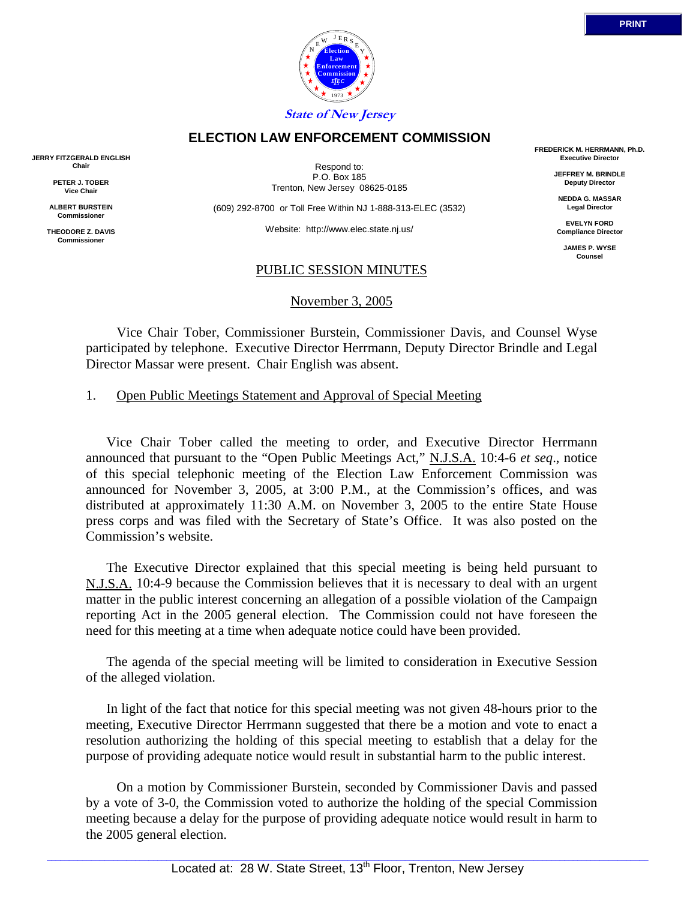



Respond to: P.O. Box 185 Trenton, New Jersey 08625-0185

**ELECTION LAW ENFORCEMENT COMMISSION**

(609) 292-8700 or Toll Free Within NJ 1-888-313-ELEC (3532)

Website: http://www.elec.state.nj.us/

## PUBLIC SESSION MINUTES

November 3, 2005

 Vice Chair Tober, Commissioner Burstein, Commissioner Davis, and Counsel Wyse participated by telephone. Executive Director Herrmann, Deputy Director Brindle and Legal Director Massar were present. Chair English was absent.

1. Open Public Meetings Statement and Approval of Special Meeting

Vice Chair Tober called the meeting to order, and Executive Director Herrmann announced that pursuant to the "Open Public Meetings Act," N.J.S.A. 10:4-6 *et seq*., notice of this special telephonic meeting of the Election Law Enforcement Commission was announced for November 3, 2005, at 3:00 P.M., at the Commission's offices, and was distributed at approximately 11:30 A.M. on November 3, 2005 to the entire State House press corps and was filed with the Secretary of State's Office. It was also posted on the Commission's website.

The Executive Director explained that this special meeting is being held pursuant to N.J.S.A. 10:4-9 because the Commission believes that it is necessary to deal with an urgent matter in the public interest concerning an allegation of a possible violation of the Campaign reporting Act in the 2005 general election. The Commission could not have foreseen the need for this meeting at a time when adequate notice could have been provided.

The agenda of the special meeting will be limited to consideration in Executive Session of the alleged violation.

In light of the fact that notice for this special meeting was not given 48-hours prior to the meeting, Executive Director Herrmann suggested that there be a motion and vote to enact a resolution authorizing the holding of this special meeting to establish that a delay for the purpose of providing adequate notice would result in substantial harm to the public interest.

 On a motion by Commissioner Burstein, seconded by Commissioner Davis and passed by a vote of 3-0, the Commission voted to authorize the holding of the special Commission meeting because a delay for the purpose of providing adequate notice would result in harm to the 2005 general election.

**JERRY FITZGERALD ENGLISH Chair**

> **PETER J. TOBER Vice Chair**

**ALBERT BURSTEIN Commissioner** 

**THEODORE Z. DAVIS Commissione** 

**Election Law Enforcement Commission** *L E EC* 1973  $N \frac{E}{E}$  E R S Y E **State of New Jersey**

> **FREDERICK M. HERRMANN, Ph.D. Executive Director**

> > **JEFFREY M. BRINDLE Deputy Director**

**NEDDA G. MASSAR Legal Director**

**EVELYN FORD Compliance Director**

> **JAMES P. WYSE Counsel**